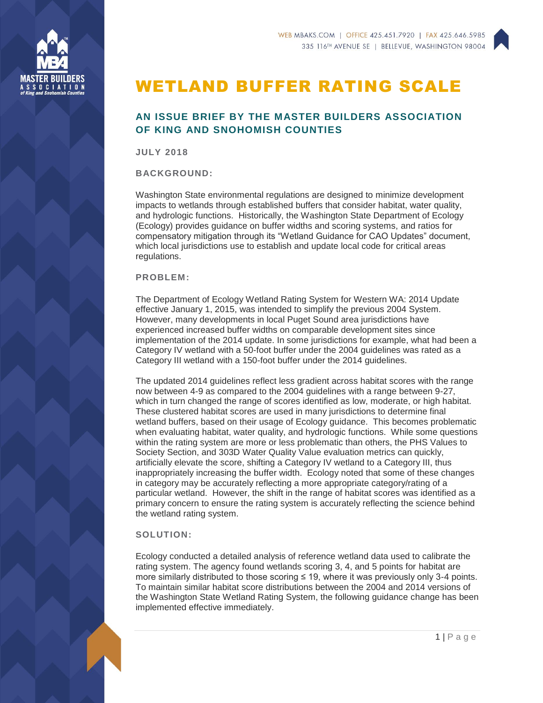

## WETLAND BUFFER RATING SCALE

## **AN ISSUE BRIEF BY THE MASTER BUILDERS ASSOCIATION OF KING AND SNOHOMISH COUNTIES**

**JULY 2018**

**BACKGROUND:**

Washington State environmental regulations are designed to minimize development impacts to wetlands through established buffers that consider habitat, water quality, and hydrologic functions. Historically, the Washington State Department of Ecology (Ecology) provides guidance on buffer widths and scoring systems, and ratios for compensatory mitigation through its "Wetland Guidance for CAO Updates" document, which local jurisdictions use to establish and update local code for critical areas regulations.

## **PROBLEM:**

The Department of Ecology Wetland Rating System for Western WA: 2014 Update effective January 1, 2015, was intended to simplify the previous 2004 System. However, many developments in local Puget Sound area jurisdictions have experienced increased buffer widths on comparable development sites since implementation of the 2014 update. In some jurisdictions for example, what had been a Category IV wetland with a 50-foot buffer under the 2004 guidelines was rated as a Category III wetland with a 150-foot buffer under the 2014 guidelines.

The updated 2014 guidelines reflect less gradient across habitat scores with the range now between 4-9 as compared to the 2004 guidelines with a range between 9-27, which in turn changed the range of scores identified as low, moderate, or high habitat. These clustered habitat scores are used in many jurisdictions to determine final wetland buffers, based on their usage of Ecology guidance. This becomes problematic when evaluating habitat, water quality, and hydrologic functions. While some questions within the rating system are more or less problematic than others, the PHS Values to Society Section, and 303D Water Quality Value evaluation metrics can quickly, artificially elevate the score, shifting a Category IV wetland to a Category III, thus inappropriately increasing the buffer width. Ecology noted that some of these changes in category may be accurately reflecting a more appropriate category/rating of a particular wetland. However, the shift in the range of habitat scores was identified as a primary concern to ensure the rating system is accurately reflecting the science behind the wetland rating system.

## **SOLUTION:**

Ecology conducted a detailed analysis of reference wetland data used to calibrate the rating system. The agency found wetlands scoring 3, 4, and 5 points for habitat are more similarly distributed to those scoring ≤ 19, where it was previously only 3-4 points. To maintain similar habitat score distributions between the 2004 and 2014 versions of the Washington State Wetland Rating System, the following guidance change has been implemented effective immediately.